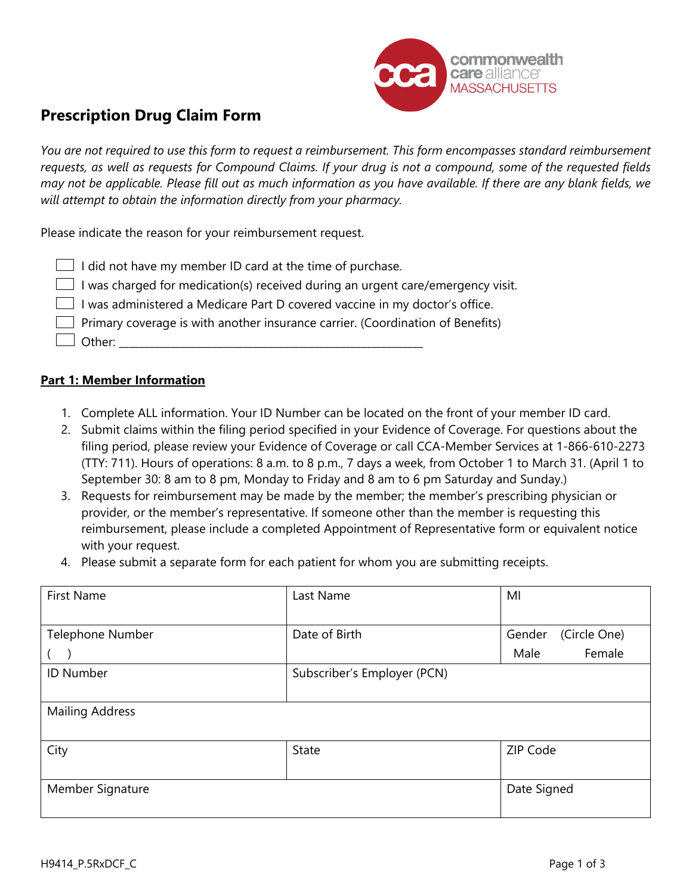

# **Prescription Drug Claim Form**

*You are not required to use this form to request a reimbursement. This form encompasses standard reimbursement requests, as well as requests for Compound Claims. If your drug is not a compound, some of the requested fields may not be applicable. Please fill out as much information as you have available. If there are any blank fields, we will attempt to obtain the information directly from your pharmacy.*

Please indicate the reason for your reimbursement request.

| $\Box$ I did not have my member ID card at the time of purchase.                       |
|----------------------------------------------------------------------------------------|
| $\Box$ I was charged for medication(s) received during an urgent care/emergency visit. |
| I was administered a Medicare Part D covered vaccine in my doctor's office.            |
| Primary coverage is with another insurance carrier. (Coordination of Benefits)         |
| $\Box$ Other:                                                                          |

### **Part 1: Member Information**

- 1. Complete ALL information. Your ID Number can be located on the front of your member ID card.
- 2. Submit claims within the filing period specified in your Evidence of Coverage. For questions about the filing period, please review your Evidence of Coverage or call CCA-Member Services at 1-866-610-2273 (TTY: 711). Hours of operations: 8 a.m. to 8 p.m., 7 days a week, from October 1 to March 31. (April 1 to September 30: 8 am to 8 pm, Monday to Friday and 8 am to 6 pm Saturday and Sunday.)
- 3. Requests for reimbursement may be made by the member; the member's prescribing physician or provider, or the member's representative. If someone other than the member is requesting this reimbursement, please include a completed Appointment of Representative form or equivalent notice with your request.
- 4. Please submit a separate form for each patient for whom you are submitting receipts.

| <b>First Name</b>      | Last Name                   | MI                     |  |
|------------------------|-----------------------------|------------------------|--|
|                        |                             |                        |  |
| Telephone Number       | Date of Birth               | (Circle One)<br>Gender |  |
|                        |                             | Female<br>Male         |  |
| <b>ID Number</b>       | Subscriber's Employer (PCN) |                        |  |
|                        |                             |                        |  |
| <b>Mailing Address</b> |                             |                        |  |
|                        |                             |                        |  |
| City                   | <b>State</b>                | ZIP Code               |  |
|                        |                             |                        |  |
| Member Signature       |                             | Date Signed            |  |
|                        |                             |                        |  |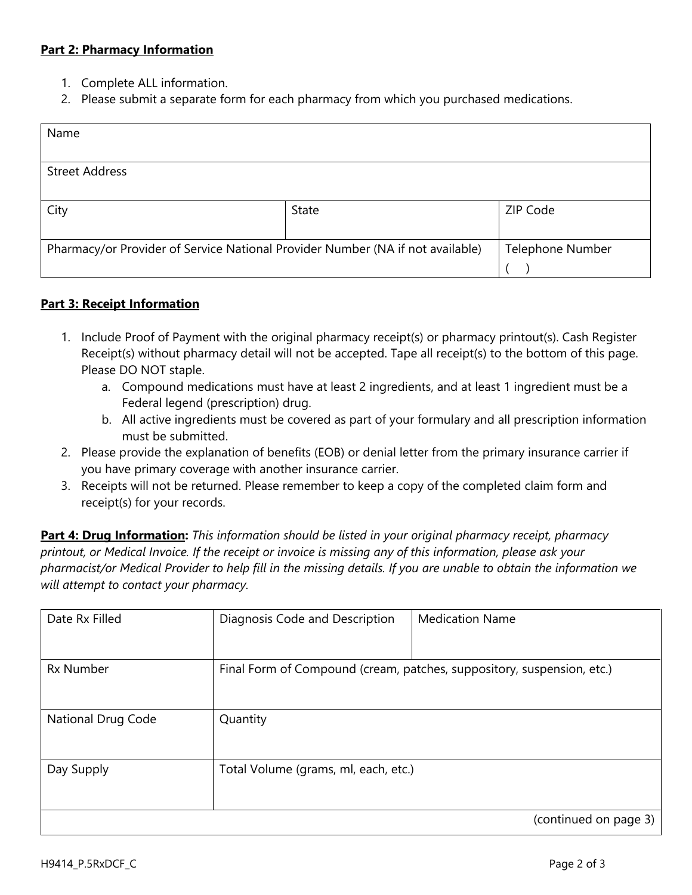### **Part 2: Pharmacy Information**

- 1. Complete ALL information.
- 2. Please submit a separate form for each pharmacy from which you purchased medications.

| Name                                                                           |       |                         |  |
|--------------------------------------------------------------------------------|-------|-------------------------|--|
|                                                                                |       |                         |  |
| <b>Street Address</b>                                                          |       |                         |  |
|                                                                                |       |                         |  |
| City                                                                           | State | ZIP Code                |  |
|                                                                                |       |                         |  |
| Pharmacy/or Provider of Service National Provider Number (NA if not available) |       | <b>Telephone Number</b> |  |
|                                                                                |       |                         |  |

### **Part 3: Receipt Information**

- 1. Include Proof of Payment with the original pharmacy receipt(s) or pharmacy printout(s). Cash Register Receipt(s) without pharmacy detail will not be accepted. Tape all receipt(s) to the bottom of this page. Please DO NOT staple.
	- a. Compound medications must have at least 2 ingredients, and at least 1 ingredient must be a Federal legend (prescription) drug.
	- b. All active ingredients must be covered as part of your formulary and all prescription information must be submitted.
- 2. Please provide the explanation of benefits (EOB) or denial letter from the primary insurance carrier if you have primary coverage with another insurance carrier.
- 3. Receipts will not be returned. Please remember to keep a copy of the completed claim form and receipt(s) for your records.

**Part 4: Drug Information:** *This information should be listed in your original pharmacy receipt, pharmacy printout, or Medical Invoice. If the receipt or invoice is missing any of this information, please ask your pharmacist/or Medical Provider to help fill in the missing details. If you are unable to obtain the information we will attempt to contact your pharmacy.*

| Date Rx Filled     | Diagnosis Code and Description                                         | <b>Medication Name</b> |
|--------------------|------------------------------------------------------------------------|------------------------|
| <b>Rx Number</b>   | Final Form of Compound (cream, patches, suppository, suspension, etc.) |                        |
| National Drug Code | Quantity                                                               |                        |
| Day Supply         | Total Volume (grams, ml, each, etc.)                                   |                        |
|                    |                                                                        | (continued on page 3)  |